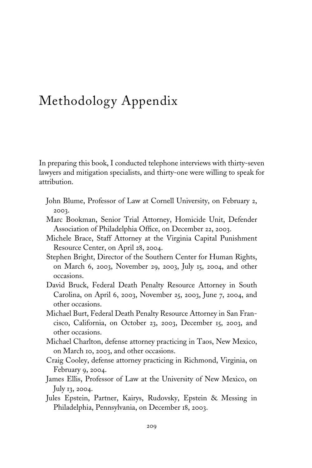## Methodology Appendix

In preparing this book, I conducted telephone interviews with thirty-seven lawyers and mitigation specialists, and thirty-one were willing to speak for attribution.

- John Blume, Professor of Law at Cornell University, on February 2, 2003.
- Marc Bookman, Senior Trial Attorney, Homicide Unit, Defender Association of Philadelphia Office, on December 22, 2003.
- Michele Brace, Staff Attorney at the Virginia Capital Punishment Resource Center, on April 28, 2004.
- Stephen Bright, Director of the Southern Center for Human Rights, on March 6, 2003, November 29, 2003, July 15, 2004, and other occasions.
- David Bruck, Federal Death Penalty Resource Attorney in South Carolina, on April 6, 2003, November 25, 2003, June 7, 2004, and other occasions.
- Michael Burt, Federal Death Penalty Resource Attorney in San Francisco, California, on October 23, 2003, December 15, 2003, and other occasions.
- Michael Charlton, defense attorney practicing in Taos, New Mexico, on March 10, 2003, and other occasions.
- Craig Cooley, defense attorney practicing in Richmond, Virginia, on February 9, 2004.
- James Ellis, Professor of Law at the University of New Mexico, on July 13, 2004.
- Jules Epstein, Partner, Kairys, Rudovsky, Epstein & Messing in Philadelphia, Pennsylvania, on December 18, 2003.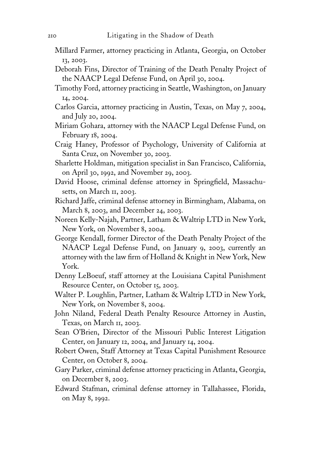- Millard Farmer, attorney practicing in Atlanta, Georgia, on October 13, 2003.
- Deborah Fins, Director of Training of the Death Penalty Project of the NAACP Legal Defense Fund, on April 30, 2004.
- Timothy Ford, attorney practicing in Seattle, Washington, on January 14, 2004.
- Carlos Garcia, attorney practicing in Austin, Texas, on May 7, 2004, and July 20, 2004.
- Miriam Gohara, attorney with the NAACP Legal Defense Fund, on February 18, 2004.
- Craig Haney, Professor of Psychology, University of California at Santa Cruz, on November 30, 2003.
- Sharlette Holdman, mitigation specialist in San Francisco, California, on April 30, 1992, and November 29, 2003.
- David Hoose, criminal defense attorney in Springfield, Massachusetts, on March 11, 2003.
- Richard Jaffe, criminal defense attorney in Birmingham, Alabama, on March 8, 2003, and December 24, 2003.
- Noreen Kelly-Najah, Partner, Latham & Waltrip LTD in New York, New York, on November 8, 2004.
- George Kendall, former Director of the Death Penalty Project of the NAACP Legal Defense Fund, on January 9, 2003, currently an attorney with the law firm of Holland & Knight in New York, New York.
- Denny LeBoeuf, staff attorney at the Louisiana Capital Punishment Resource Center, on October 15, 2003.
- Walter P. Loughlin, Partner, Latham & Waltrip LTD in New York, New York, on November 8, 2004.
- John Niland, Federal Death Penalty Resource Attorney in Austin, Texas, on March 11, 2003.
- Sean O'Brien, Director of the Missouri Public Interest Litigation Center, on January 12, 2004, and January 14, 2004.
- Robert Owen, Staff Attorney at Texas Capital Punishment Resource Center, on October 8, 2004.
- Gary Parker, criminal defense attorney practicing in Atlanta, Georgia, on December 8, 2003.
- Edward Stafman, criminal defense attorney in Tallahassee, Florida, on May 8, 1992.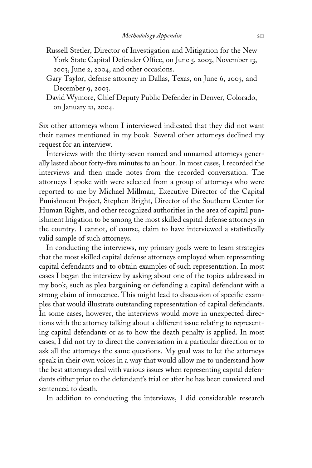- Russell Stetler, Director of Investigation and Mitigation for the New York State Capital Defender Office, on June 5, 2003, November 13, 2003, June 2, 2004, and other occasions.
- Gary Taylor, defense attorney in Dallas, Texas, on June 6, 2003, and December 9, 2003.
- David Wymore, Chief Deputy Public Defender in Denver, Colorado, on January 21, 2004.

Six other attorneys whom I interviewed indicated that they did not want their names mentioned in my book. Several other attorneys declined my request for an interview.

Interviews with the thirty-seven named and unnamed attorneys generally lasted about forty-five minutes to an hour. In most cases, I recorded the interviews and then made notes from the recorded conversation. The attorneys I spoke with were selected from a group of attorneys who were reported to me by Michael Millman, Executive Director of the Capital Punishment Project, Stephen Bright, Director of the Southern Center for Human Rights, and other recognized authorities in the area of capital punishment litigation to be among the most skilled capital defense attorneys in the country. I cannot, of course, claim to have interviewed a statistically valid sample of such attorneys.

In conducting the interviews, my primary goals were to learn strategies that the most skilled capital defense attorneys employed when representing capital defendants and to obtain examples of such representation. In most cases I began the interview by asking about one of the topics addressed in my book, such as plea bargaining or defending a capital defendant with a strong claim of innocence. This might lead to discussion of specific examples that would illustrate outstanding representation of capital defendants. In some cases, however, the interviews would move in unexpected directions with the attorney talking about a different issue relating to representing capital defendants or as to how the death penalty is applied. In most cases, I did not try to direct the conversation in a particular direction or to ask all the attorneys the same questions. My goal was to let the attorneys speak in their own voices in a way that would allow me to understand how the best attorneys deal with various issues when representing capital defendants either prior to the defendant's trial or after he has been convicted and sentenced to death.

In addition to conducting the interviews, I did considerable research